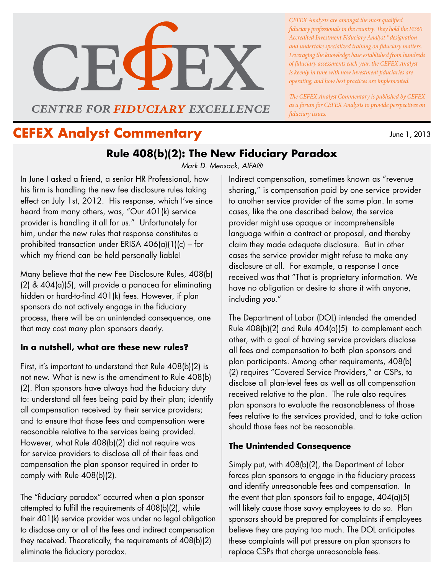

**CENTRE FOR FIDUCIARY EXCELLENCE** 

June 1, 2013 **CEFEX Analyst Commentary**

*CEFEX Analysts are amongst the most qualified fiduciary professionals in the country. They hold the Fi360 Accredited Investment Fiduciary Analyst ® designation and undertake specialized training on fiduciary matters. Leveraging the knowledge base established from hundreds of fiduciary assessments each year, the CEFEX Analyst is keenly in tune with how investment fiduciaries are operating, and how best practices are implemented.* 

*The CEFEX Analyst Commentary is published by CEFEX as a forum for CEFEX Analysts to provide perspectives on fiduciary issues.*

# **Rule 408(b)(2): The New Fiduciary Paradox**

*Mark D. Mensack, AIFA®*

In June I asked a friend, a senior HR Professional, how his firm is handling the new fee disclosure rules taking effect on July 1st, 2012. His response, which I've since heard from many others, was, "Our 401(k) service provider is handling it all for us." Unfortunately for him, under the new rules that response constitutes a prohibited transaction under ERISA 406(a)(1)(c) – for which my friend can be held personally liable!

Many believe that the new Fee Disclosure Rules, 408(b) (2) & 404(a)(5), will provide a panacea for eliminating hidden or hard-to-find 401(k) fees. However, if plan sponsors do not actively engage in the fiduciary process, there will be an unintended consequence, one that may cost many plan sponsors dearly.

### **In a nutshell, what are these new rules?**

First, it's important to understand that Rule 408(b)(2) is not new. What is new is the amendment to Rule 408(b) (2). Plan sponsors have always had the fiduciary duty to: understand all fees being paid by their plan; identify all compensation received by their service providers; and to ensure that those fees and compensation were reasonable relative to the services being provided. However, what Rule 408(b)(2) did not require was for service providers to disclose all of their fees and compensation the plan sponsor required in order to comply with Rule 408(b)(2).

The "fiduciary paradox" occurred when a plan sponsor attempted to fulfill the requirements of 408(b)(2), while their 401(k) service provider was under no legal obligation to disclose any or all of the fees and indirect compensation they received. Theoretically, the requirements of 408(b)(2) eliminate the fiduciary paradox.

Indirect compensation, sometimes known as "revenue sharing," is compensation paid by one service provider to another service provider of the same plan. In some cases, like the one described below, the service provider might use opaque or incomprehensible language within a contract or proposal, and thereby claim they made adequate disclosure. But in other cases the service provider might refuse to make any disclosure at all. For example, a response I once received was that "That is proprietary information. We have no obligation or desire to share it with anyone, including *you*."

The Department of Labor (DOL) intended the amended Rule 408(b)(2) and Rule 404(a)(5) to complement each other, with a goal of having service providers disclose all fees and compensation to both plan sponsors and plan participants. Among other requirements, 408(b) (2) requires "Covered Service Providers," or CSPs, to disclose all plan-level fees as well as all compensation received relative to the plan. The rule also requires plan sponsors to evaluate the reasonableness of those fees relative to the services provided, and to take action should those fees not be reasonable.

## **The Unintended Consequence**

Simply put, with 408(b)(2), the Department of Labor forces plan sponsors to engage in the fiduciary process and identify unreasonable fees and compensation. In the event that plan sponsors fail to engage, 404(a)(5) will likely cause those savvy employees to do so. Plan sponsors should be prepared for complaints if employees believe they are paying too much. The DOL anticipates these complaints will put pressure on plan sponsors to replace CSPs that charge unreasonable fees.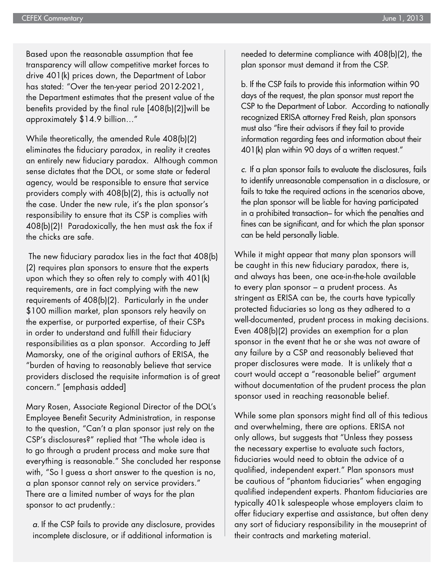Based upon the reasonable assumption that fee transparency will allow competitive market forces to drive 401(k) prices down, the Department of Labor has stated: "Over the ten-year period 2012-2021, the Department estimates that the present value of the benefits provided by the final rule [408(b)(2)]will be approximately \$14.9 billion…"

While theoretically, the amended Rule 408(b)(2) eliminates the fiduciary paradox, in reality it creates an entirely new fiduciary paradox. Although common sense dictates that the DOL, or some state or federal agency, would be responsible to ensure that service providers comply with 408(b)(2), this is actually not the case. Under the new rule, it's the plan sponsor's responsibility to ensure that its CSP is complies with 408(b)(2)! Paradoxically, the hen must ask the fox if the chicks are safe.

 The new fiduciary paradox lies in the fact that 408(b) (2) requires plan sponsors to ensure that the experts upon which they so often rely to comply with 401(k) requirements, are in fact complying with the new requirements of 408(b)(2). Particularly in the under \$100 million market, plan sponsors rely heavily on the expertise, or purported expertise, of their CSPs in order to understand and fulfill their fiduciary responsibilities as a plan sponsor. According to Jeff Mamorsky, one of the original authors of ERISA, the "burden of having to reasonably believe that service providers disclosed the requisite information is of great concern." [emphasis added]

Mary Rosen, Associate Regional Director of the DOL's Employee Benefit Security Administration, in response to the question, "Can't a plan sponsor just rely on the CSP's disclosures?" replied that "The whole idea is to go through a prudent process and make sure that everything is reasonable." She concluded her response with, "So I guess a short answer to the question is no, a plan sponsor cannot rely on service providers." There are a limited number of ways for the plan sponsor to act prudently.:

*a.* If the CSP fails to provide any disclosure, provides incomplete disclosure, or if additional information is

needed to determine compliance with 408(b)(2), the plan sponsor must demand it from the CSP.

b. If the CSP fails to provide this information within 90 days of the request, the plan sponsor must report the CSP to the Department of Labor. According to nationally recognized ERISA attorney Fred Reish, plan sponsors must also "fire their advisors if they fail to provide information regarding fees and information about their 401(k) plan within 90 days of a written request."

*c.* If a plan sponsor fails to evaluate the disclosures, fails to identify unreasonable compensation in a disclosure, or fails to take the required actions in the scenarios above, the plan sponsor will be liable for having participated in a prohibited transaction– for which the penalties and fines can be significant, and for which the plan sponsor can be held personally liable.

While it might appear that many plan sponsors will be caught in this new fiduciary paradox, there is, and always has been, one ace-in-the-hole available to every plan sponsor – a prudent process. As stringent as ERISA can be, the courts have typically protected fiduciaries so long as they adhered to a well-documented, prudent process in making decisions. Even 408(b)(2) provides an exemption for a plan sponsor in the event that he or she was not aware of any failure by a CSP and reasonably believed that proper disclosures were made. It is unlikely that a court would accept a "reasonable belief" argument without documentation of the prudent process the plan sponsor used in reaching reasonable belief.

While some plan sponsors might find all of this tedious and overwhelming, there are options. ERISA not only allows, but suggests that "Unless they possess the necessary expertise to evaluate such factors, fiduciaries would need to obtain the advice of a qualified, independent expert." Plan sponsors must be cautious of "phantom fiduciaries" when engaging qualified independent experts. Phantom fiduciaries are typically 401k salespeople whose employers claim to offer fiduciary expertise and assistance, but often deny any sort of fiduciary responsibility in the mouseprint of their contracts and marketing material.